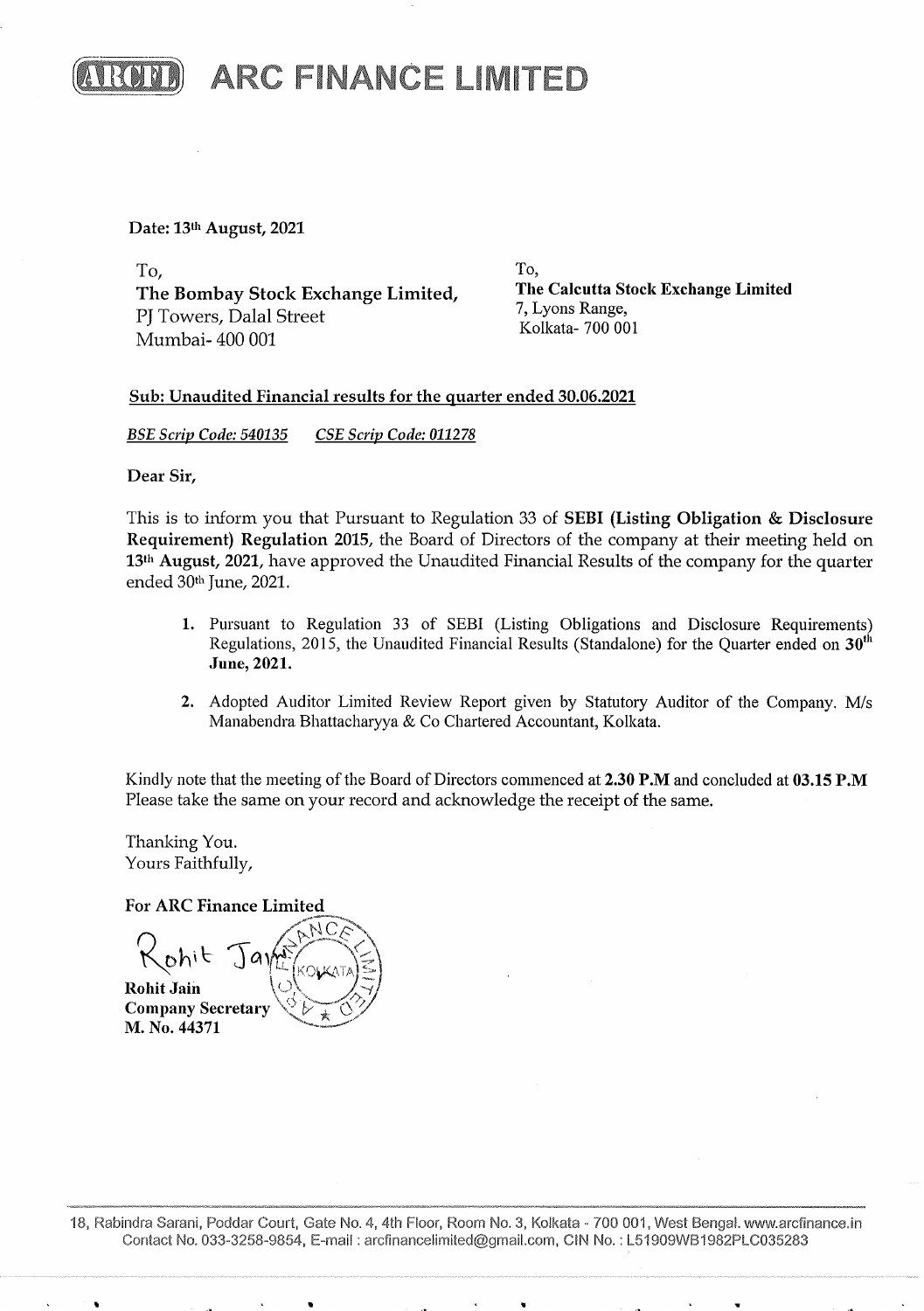

Date: 13th August, 2021

To, To, To,<br>The Bombay Stock Exchange Limited, The Calcutta Stock Exchange Limited 7, Lyons Range,<br>
PJ Towers, Dalal Street<br>
Mumbai- 400 001

## Sub: Unaudited Financial results for the quarter ended 30.06.2021

BSE Scrip Code: 540135 CSE Scrip Code: 011278

Dear Sir,

This is to inform you that Pursuant to Regulation 33 of SEBI (Listing Obligation & Disclosure Requirement) Regulation 2015, the Board of Directors of the company at their meeting held on 13<sup>th</sup> August, 2021, have approved the Unaudited Financial Results of the company for the quarter ended 30<sup>th</sup> June, 2021. **EXECUTE:** A RC FINANCE LIMITED<br>
To Borston Reader. And<br>
To Borston Reader. Note Readers Limited,<br>
The Christian Readers Reader Readers (Fig. 2014)<br>
Scheme Readers And Scheme Limited,<br>
Scheme Readers And Scheme Readers (F

- 1. Pursuant to Regulation 33 of SEBI (Listing Obligations and Disclosure Requirements) Regulations, 2015, the Unaudited Financial Results (Standalone) for the Quarter ended on  $30<sup>th</sup>$ June, 2021.
- 2. Adopted Auditor Limited Review Report given by Statutory Auditor of the Company. M/s Manabendra Bhattacharyya & Co Chartered Accountant, Kolkata.

Kindly note that the meeting of the Board of Directors commenced at 2.30 P.M and concluded at 03.15 P.M Please take the same on your record and acknowledge the receipt of the same.

Thanking You. Yours Faithfully,

For ARC Finance Limited

Please take the same on you<br>
Thanking You.<br>
Yours Faithfully,<br>
For ARC Finance Limited<br>  $\bigotimes_{\mathbf{C}} h_i \in \bigcup_{\mathbf{A}} h_i \in \bigotimes_{\mathbf{A}} h_i$ <br>
Rohit Jain<br>
Company Secretary<br>
M. No. 44371<br>
18, Rabindra Sarani, Poddar Court, Gate<br>
C ANCE  $R_{\text{th}}$   $\text{rank}$   $\text{rank}$   $\text{rank}$ **Rohit Jain** Romt Jain<br>Company Secretary (BAC) or and the contract of the contract of the contract of the contract of the contract of the contract of the contract of the contract of the contract of the contract of the contract of the contract of the contract of the con BSE Scrip Code: 540135 CSE Scrip Code: 01127<br>
Dear Sir,<br>
This is to inform you that Pursuant to Regulation<br>
Requirement Regulation 2015, the Board c<br>
13<sup>th</sup> August, 2021, have approved the Unautor<br>
ended 30<sup>th</sup> June, 2021

18, Rabindra Sarani, Poddar Court, Gate No. 4, 4th Floor, Room No. 3, Kolkata - 700 001, West Bengal. www.arcfinance.in Contact No. 033-3258-9854, E-mail : arcfinancelimited@gmail.corn, CIN No. : LS1909WB1982PLC035283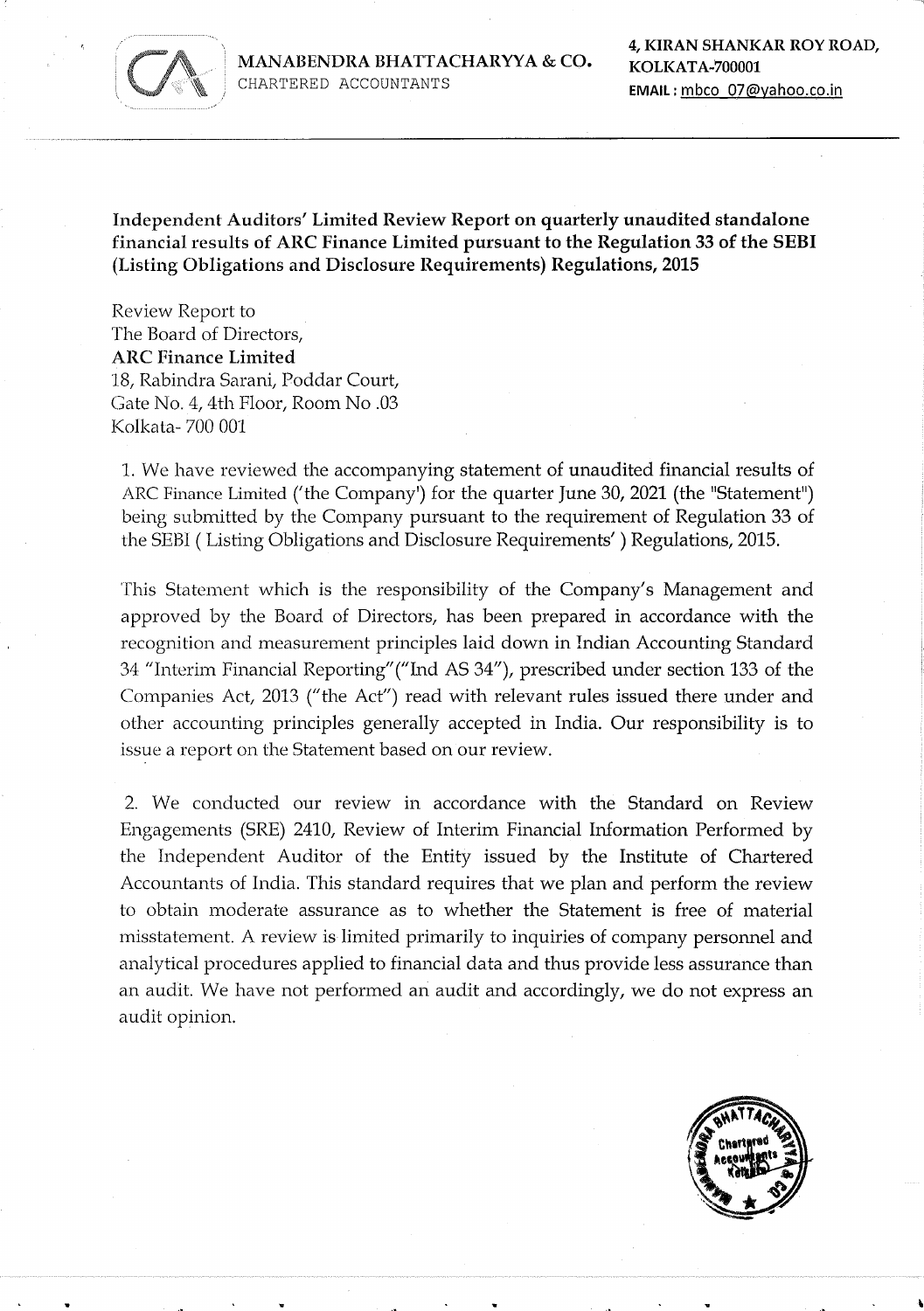

MANABENDRA BHATTACHARYYA & CO.<br>CHARTERED ACCOUNTANTS **EMAIL**: mbco 07@yahoo.co.in CHARTERED ACCOUNTANTS

Independent Auditors' Limited Review Report on quarterly unaudited standalone financial results of ARC Finance Limited pursuant to the Regulation 33 of the SEBI (Listing Obligations and Disclosure Requirements) Regulations, 2015

Review Report to The Board of Directors, ARC Finance Limited 18, Rabindra Sarani, Poddar Court, Gate No. 4, 4th Floor, Room No .03 Kolkata- 700 001

1. We have reviewed the accompanying statement of unaudited financial results of ARC Finance Limited ('the Company') for the quarter June 30, 2021 (the "Statement") being submitted by the Company pursuant to the requirement of Regulation 33 of the SEBI ( Listing Obligations and Disclosure Requirements' ) Regulations, 2015.

This Statement which is the responsibility of the Company's Management and approved by the Board of Directors, has been prepared in accordance with the recognition and measurement principles laid down in Indian Accounting Standard 34 "Interim Financial Reporting' ("Ind AS 34"), prescribed under section 133 of the Companies Act, 2013 ("the Act") read with relevant rules issued there under and other accounting principles generally accepted in India. Our responsibility is to issue a report on the Statement based on our review.

2. We conducted our review in accordance with the Standard on Review Engagements (SRE) 2410, Review of Interim Financial Information Performed by the Independent Auditor of the Entity issued by the Institute of Chartered Accountants of India. This standard requires that we plan and perform the review to obtain moderate assurance as to whether the Statement is free of material misstatement. A review is limited primarily to inquiries of company personnel and analytical procedures applied to financial data and thus provide less assurance than an audit. We have not performed an audit and accordingly, we do not express an audit opinion. 18, Rabindra Emmate<br>
18, Rabindra Saranti, Poddar Court,<br>
18, Rabindra Saranti, Poddar Court,<br>
19. Ne have reviewed the accompanying<br>
1. We have reviewed the accompanying<br>
1. We have reviewed the accompanying<br>
1. We have r

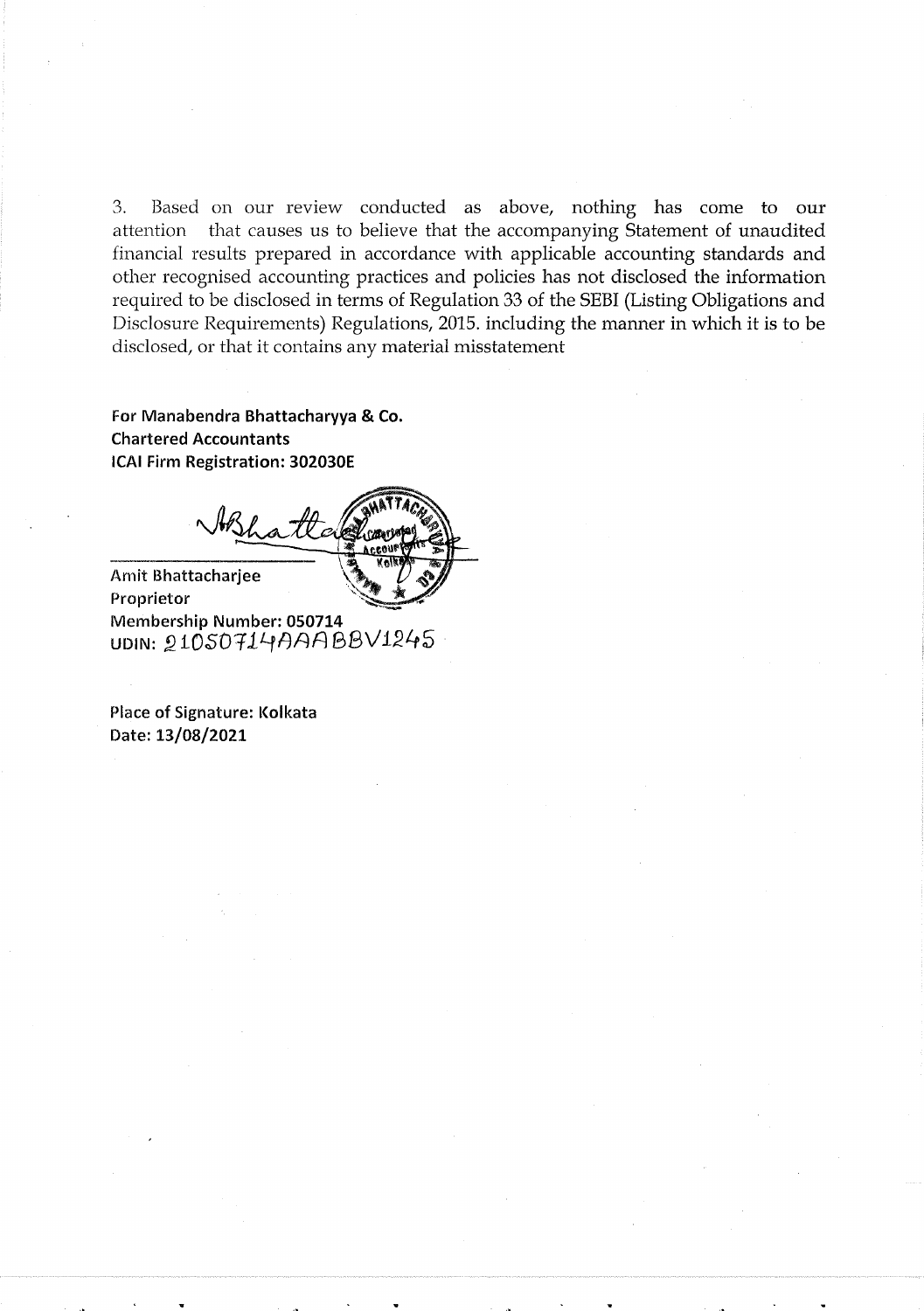3. Based on our review conducted as above, nothing has come to our attention that causes us to believe that the accompanying Statement of unaudited financial results prepared in accordance with applicable accounting standards and other recognised accounting practices and policies has not disclosed the information required to be disclosed in terms of Regulation 33 of the SEBI (Listing Obligations and Disclosure Requirements) Regulations, 2015. including the manner in which it is to be disclosed, or that it contains any material misstatement  $\therefore$  Event are arrivanted and the<br>interactional and above, restring has ensure to entropy the contribution<br>of entropy and another set of the proposition of the strength and the<br>interaction of the complete according produ

For Manabendra Bhattacharyya & Co. Chartered Accountants ICAI Firm Registration: 302030E For Manaben<br>Chartered Ac<br>ICAI Firm Reg<br>N

Amit Bhattacharjee ration: 3<br>Pha<sup>7</sup>

Proprietor Membership Number: 050714<br>UDIN: 21050714AAABBV1245

Place of Signature: Kolkata Date: 13/08/2021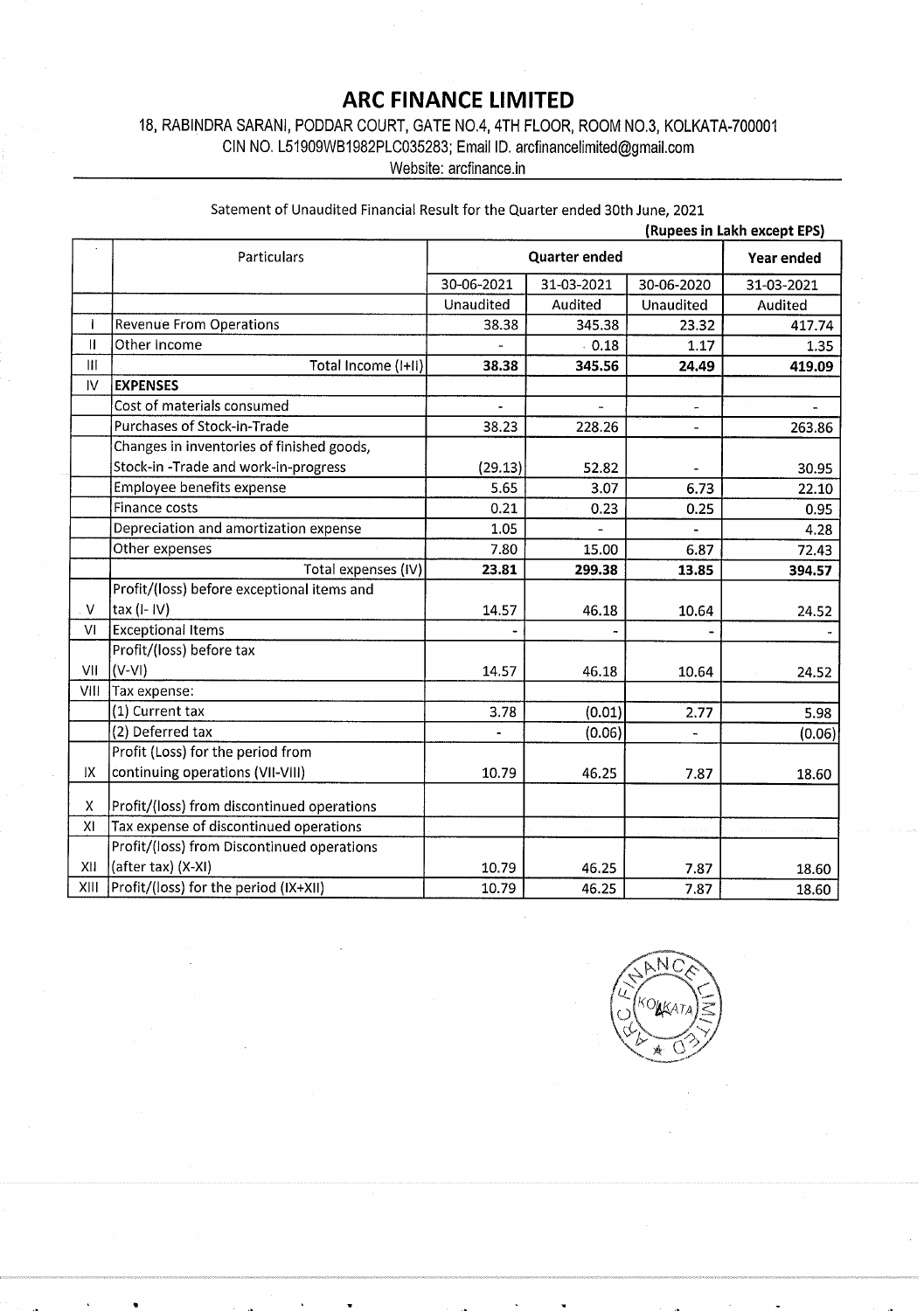## ARC FINANCE LIMITED

## 18, RABINDRA SARANI, PODDAR COURT, GATE NO.4, 4TH FLOOR, ROOM NO.3, KOLKATA-700001

|                                       | 18, RABINDRA SARANI, PODDAR COURT, GATE NO.4, 4TH FLOOR, ROOM NO.3, KOLKATA-700001<br>CIN NO. L51909WB1982PLC035283; Email ID. arcfinancelimited@gmail.com | <b>ARC FINANCE LIMITED</b><br>Website: arcfinance.in |                          |                             |            |
|---------------------------------------|------------------------------------------------------------------------------------------------------------------------------------------------------------|------------------------------------------------------|--------------------------|-----------------------------|------------|
|                                       |                                                                                                                                                            |                                                      |                          |                             |            |
|                                       |                                                                                                                                                            |                                                      |                          |                             |            |
|                                       |                                                                                                                                                            |                                                      |                          |                             |            |
|                                       |                                                                                                                                                            |                                                      |                          |                             |            |
|                                       |                                                                                                                                                            |                                                      |                          |                             |            |
|                                       |                                                                                                                                                            |                                                      |                          |                             |            |
|                                       |                                                                                                                                                            |                                                      |                          |                             |            |
|                                       |                                                                                                                                                            |                                                      |                          |                             |            |
|                                       |                                                                                                                                                            |                                                      |                          |                             |            |
|                                       |                                                                                                                                                            |                                                      |                          |                             |            |
|                                       |                                                                                                                                                            |                                                      |                          |                             |            |
|                                       |                                                                                                                                                            |                                                      |                          |                             |            |
|                                       |                                                                                                                                                            |                                                      |                          |                             |            |
|                                       | Satement of Unaudited Financial Result for the Quarter ended 30th June, 2021                                                                               |                                                      |                          |                             |            |
|                                       |                                                                                                                                                            |                                                      |                          | (Rupees in Lakh except EPS) |            |
|                                       | <b>Particulars</b>                                                                                                                                         |                                                      | <b>Quarter ended</b>     |                             | Year ended |
|                                       |                                                                                                                                                            | 30-06-2021                                           | 31-03-2021               | 30-06-2020                  | 31-03-2021 |
|                                       |                                                                                                                                                            | Unaudited                                            | Audited                  | Unaudited                   | Audited    |
| T<br>$\mathbf{H}$                     | <b>Revenue From Operations</b><br>Other Income                                                                                                             | 38.38                                                | 345.38<br>0.18           | 23.32<br>1.17               | 417.74     |
| $\begin{array}{c} \hline \end{array}$ | Total Income (I+II)                                                                                                                                        | 38.38                                                | 345.56                   | 24.49                       | 419.09     |
| $\mathsf{IV}$                         | <b>EXPENSES</b>                                                                                                                                            |                                                      |                          |                             |            |
|                                       | Cost of materials consumed                                                                                                                                 | $\mathbf{r}$                                         | $\overline{\phantom{a}}$ |                             |            |
|                                       | Purchases of Stock-in-Trade                                                                                                                                | 38.23                                                | 228.26                   | $\omega$                    | 263.86     |
|                                       | Changes in inventories of finished goods,<br>Stock-in-Trade and work-in-progress                                                                           | (29.13)                                              | 52.82                    |                             |            |
|                                       | Employee benefits expense                                                                                                                                  | 5.65                                                 | 3.07                     | 6.73                        |            |
|                                       | Finance costs                                                                                                                                              | 0.21                                                 | 0.23                     | 0.25                        |            |
|                                       | Depreciation and amortization expense                                                                                                                      | 1.05                                                 |                          |                             |            |
|                                       | Other expenses<br>Total expenses (IV)                                                                                                                      | 7.80<br>23.81                                        | 15.00<br>299.38          | 6.87<br>13.85               | 394.57     |
|                                       | Profit/(loss) before exceptional items and                                                                                                                 |                                                      |                          |                             |            |
| $\vee$                                | tax (I- IV)                                                                                                                                                | 14.57                                                | 46.18                    | 10.64                       |            |
| VI                                    | <b>Exceptional Items</b><br>Profit/(loss) before tax                                                                                                       |                                                      |                          |                             |            |
| VII                                   | $(V-VI)$                                                                                                                                                   | 14.57                                                | 46.18                    | 10.64                       |            |
| VIII                                  | Tax expense:                                                                                                                                               |                                                      |                          |                             |            |
|                                       | (1) Current tax<br>(2) Deferred tax                                                                                                                        | 3.78<br>$\overline{\phantom{0}}$                     | (0.01)<br>(0.06)         | 2.77<br>٠                   |            |
|                                       |                                                                                                                                                            |                                                      |                          |                             |            |
|                                       | Profit (Loss) for the period from                                                                                                                          |                                                      |                          |                             |            |
| IX.                                   | continuing operations (VII-VIII)                                                                                                                           | 10.79                                                | 46.25                    | 7.87                        |            |
| X                                     | Profit/(loss) from discontinued operations                                                                                                                 |                                                      |                          |                             |            |
| XI                                    | Tax expense of discontinued operations.                                                                                                                    |                                                      |                          |                             |            |
|                                       | Profit/(loss) from Discontinued operations<br>$XII$ (after tax) $(X-XI)$                                                                                   | 10.79                                                | 46.25                    | 7.87                        |            |